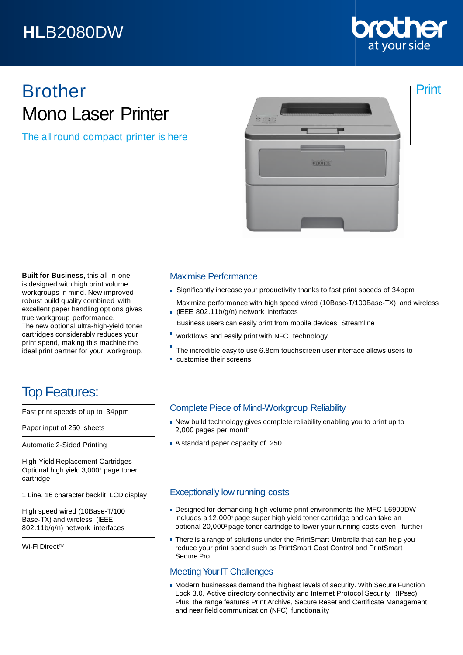## **HL**B2080DW



Print

# Brother Mono Laser Printer

The all round compact printer is here



**Built for Business**, this all-in-one is designed with high print volume workgroups in mind. New improved robust build quality combined with excellent paper handling options gives true workgroup performance. The new optional ultra-high-yield toner cartridges considerably reduces your print spend, making this machine the ideal print partner for your workgroup.

### Top Features:

Fast print speeds of up to 34ppm

Paper input of 250 sheets

Automatic 2-Sided Printing

High-Yield Replacement Cartridges - Optional high yield 3,0001 page toner cartridge

1 Line, 16 character backlit LCD display

High speed wired (10Base-T/100 Base-TX) and wireless (IEEE 802.11b/g/n) network interfaces

Wi-Fi Direct™

### Maximise Performance

- Significantly increase your productivity thanks to fast print speeds of 34ppm
- Maximize performance with high speed wired (10Base-T/100Base-TX) and wireless (IEEE 802.11b/g/n) network interfaces
- Business users can easily print from mobile devices Streamline
- workflows and easily print with NFC technology
- The incredible easy to use 6.8cm touchscreen user interface allows users to
- customise their screens

### Complete Piece of Mind-Workgroup Reliability

- New build technology gives complete reliability enabling you to print up to 2,000 pages per month
- A standard paper capacity of 250

#### Exceptionally low running costs

- Designed for demanding high volume print environments the MFC-L6900DW includes a 12,000<sup>1</sup> page super high yield toner cartridge and can take an optional 20,0001 page toner cartridge to lower your running costs even further
- There is a range of solutions under the PrintSmart Umbrella that can help you reduce your print spend such as PrintSmart Cost Control and PrintSmart Secure Pro

### Meeting Your IT Challenges

Modern businesses demand the highest levels of security. With Secure Function Lock 3.0, Active directory connectivity and Internet Protocol Security (IPsec). Plus, the range features Print Archive, Secure Reset and Certificate Management and near field communication (NFC) functionality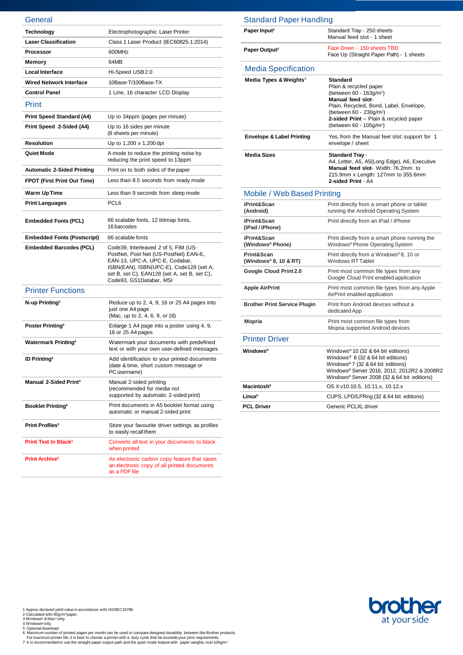| General                                |                                                                                                                                                                                                                                       |
|----------------------------------------|---------------------------------------------------------------------------------------------------------------------------------------------------------------------------------------------------------------------------------------|
| Technology                             | Electrophotographic Laser Printer                                                                                                                                                                                                     |
| <b>Laser Classification</b>            | Class 1 Laser Product (IEC60825-1:2014)                                                                                                                                                                                               |
| <b>Processor</b>                       | 600MHz                                                                                                                                                                                                                                |
| Memory                                 | 64MB                                                                                                                                                                                                                                  |
| <b>Local Interface</b>                 | Hi-Speed USB2.0                                                                                                                                                                                                                       |
| <b>Wired Network Interface</b>         | 10Base-T/100Base-TX                                                                                                                                                                                                                   |
| <b>Control Panel</b>                   | 1 Line, 16 character LCD Display                                                                                                                                                                                                      |
| Print                                  |                                                                                                                                                                                                                                       |
| <b>Print Speed Standard (A4)</b>       | Up to 34ppm (pages per minute)                                                                                                                                                                                                        |
| Print Speed 2-Sided (A4)               | Up to 16 sides per minute<br>(8 sheets per minute)                                                                                                                                                                                    |
| <b>Resolution</b>                      | Up to 1,200 x 1,200 dpi                                                                                                                                                                                                               |
| Quiet Mode                             | A mode to reduce the printing noise by<br>reducing the print speed to 13ppm                                                                                                                                                           |
| <b>Automatic 2-Sided Printing</b>      | Print on to both sides of the paper                                                                                                                                                                                                   |
| <b>FPOT (First Print Out Time)</b>     | Less than 8.5 seconds from ready mode                                                                                                                                                                                                 |
| Warm Up Time                           | Less than 9 seconds from sleep mode                                                                                                                                                                                                   |
| <b>Print Languages</b>                 | PCL <sub>6</sub>                                                                                                                                                                                                                      |
| <b>Embedded Fonts (PCL)</b>            | 66 scalable fonts, 12 bitmap fonts,<br>16 barcodes                                                                                                                                                                                    |
| <b>Embedded Fonts (Postscript)</b>     | 66 scalable fonts                                                                                                                                                                                                                     |
| <b>Embedded Barcodes (PCL)</b>         | Code39, Interleaved 2 of 5, FIM (US-<br>PostNet, Post Net (US-PostNet) EAN-8,<br>EAN-13, UPC-A, UPC-E, Codabar,<br>ISBN(EAN), ISBN(UPC-E), Code128 (set A,<br>set B, set C), EAN128 (set A, set B, set C),<br>Code93, GS1Databar, MSI |
| <b>Printer Functions</b>               |                                                                                                                                                                                                                                       |
| N-up Printing <sup>3</sup>             | Reduce up to 2, 4, 9, 16 or 25 A4 pages into<br>just one A4 page<br>(Mac, up to 2, 4, 6, 9, or 16)                                                                                                                                    |
| Poster Printing <sup>4</sup>           | Enlarge 1 A4 page into a poster using 4, 9,<br>16 or 25 A4 pages                                                                                                                                                                      |
| <b>Watermark Printing4</b>             | Watermark your documents with predefined<br>text or with your own user-defined messages                                                                                                                                               |
| <b>ID Printing4</b>                    | Add identification to your printed documents<br>(date & time, short custom message or<br>PC username)                                                                                                                                 |
| <b>Manual 2-Sided Print4</b>           | Manual 2-sided printing<br>(recommended for media not<br>supported by automatic 2-sided print)                                                                                                                                        |
| <b>Booklet Printing4</b>               | Print documents in A5 booklet format using<br>automatic or manual 2-sided print                                                                                                                                                       |
| Print Profiles <sup>3</sup>            | Store your favourite driver settings as profiles<br>to easily recall them                                                                                                                                                             |
| <b>Print Text In Black<sup>4</sup></b> | Converts all text in your documents to black<br>when printed                                                                                                                                                                          |
| <b>Print Archive<sup>4</sup></b>       | An electronic carbon copy feature that saves<br>an electronic copy of all printed documents<br>as a PDF file                                                                                                                          |

| <b>Standard Paper Handling</b>       |                                                                                                                                                                                                                                                                                 |
|--------------------------------------|---------------------------------------------------------------------------------------------------------------------------------------------------------------------------------------------------------------------------------------------------------------------------------|
| Paper Input <sup>2</sup>             | Standard Tray - 250 sheets<br>Manual feed slot - 1 sheet                                                                                                                                                                                                                        |
| Paper Output <sup>2</sup>            | Face Down - 150 sheets TBD<br>Face Up (Straight Paper Path) - 1 sheets                                                                                                                                                                                                          |
| <b>Media Specification</b>           |                                                                                                                                                                                                                                                                                 |
| Media Types & Weights <sup>7</sup>   | <b>Standard</b><br>Plain & recycled paper<br>(between 60 - 163g/m <sup>2</sup> )<br><b>Manual feed slot-</b><br>Plain, Recycled, Bond, Label, Envelope,<br>(between 60 - 230g/m <sup>2</sup> )<br>2-sided Print - Plain & recycled paper<br>(between 60 - 105g/m <sup>2</sup> ) |
| <b>Envelope &amp; Label Printing</b> | Yes, from the Manual feel slot: support for 1<br>envelope / sheet                                                                                                                                                                                                               |
| <b>Media Sizes</b>                   | <b>Standard Tray -</b><br>A4, Letter, A5, A5(Long Edge), A6, Executive<br>Manual feed slot- Width: 76.2mm to<br>215.9mm x Length: 127mm to 355.6mm<br>2-sided Print - A4                                                                                                        |
| Mobile / Web Based Printing          |                                                                                                                                                                                                                                                                                 |
| iPrint&Scan<br>(Android)             | Print directly from a smart phone or tablet<br>running the Android Operating System                                                                                                                                                                                             |
| iPrint&Scan<br>(iPad / iPhone)       | Print directly from an iPad / iPhone                                                                                                                                                                                                                                            |
| iPrint&Scan<br>(Windows® Phone)      | Print directly from a smart phone running the<br>Windows <sup>®</sup> Phone Operating System                                                                                                                                                                                    |
| Print&Scan<br>(Windows® 8, 10 & RT)  | Print directly from a Windows®8, 10 or<br><b>Windows RT Tablet</b>                                                                                                                                                                                                              |
| Google Cloud Print 2.0               | Print most common file types from any<br>Google Cloud Print enabled application                                                                                                                                                                                                 |
| <b>Apple AirPrint</b>                | Print most common file types from any Apple<br>AirPrint enabled application                                                                                                                                                                                                     |
| <b>Brother Print Service Plugin</b>  | Print from Android devices without a<br>dedicated App                                                                                                                                                                                                                           |
| <b>Mopria</b>                        | Print most common file types from<br>Mopria supported Android devices                                                                                                                                                                                                           |
| <b>Printer Driver</b>                |                                                                                                                                                                                                                                                                                 |
| Windows®                             | Windows® 10 (32 & 64 bit editions)<br>Windows <sup>®</sup> 8 (32 & 64 bit editions)<br>Windows® 7 (32 & 64 bit editions)<br>Windows® Server 2016, 2012, 2012R2 & 2008R2<br>Windows® Server 2008 (32 & 64 bit editions)                                                          |
| Macintosh <sup>5</sup>               | OS X v10.10.5, 10.11.x, 10.12.x                                                                                                                                                                                                                                                 |
| Linux <sup>5</sup>                   | CUPS, LPD/LPRng (32 & 64 bit editions)                                                                                                                                                                                                                                          |
| <b>PCL Driver</b>                    | Generic PCLXL driver                                                                                                                                                                                                                                                            |



1 Approx declared yield value in accordance with ISO/IEC19798.<br>2 Calculated with 80g/m\*paper.<br>4 Windows∾ & Macªonly.<br>6 Windows∾only.<br>5 Optional download<br>6 Maximum number of printed pages per month can be used to compare d